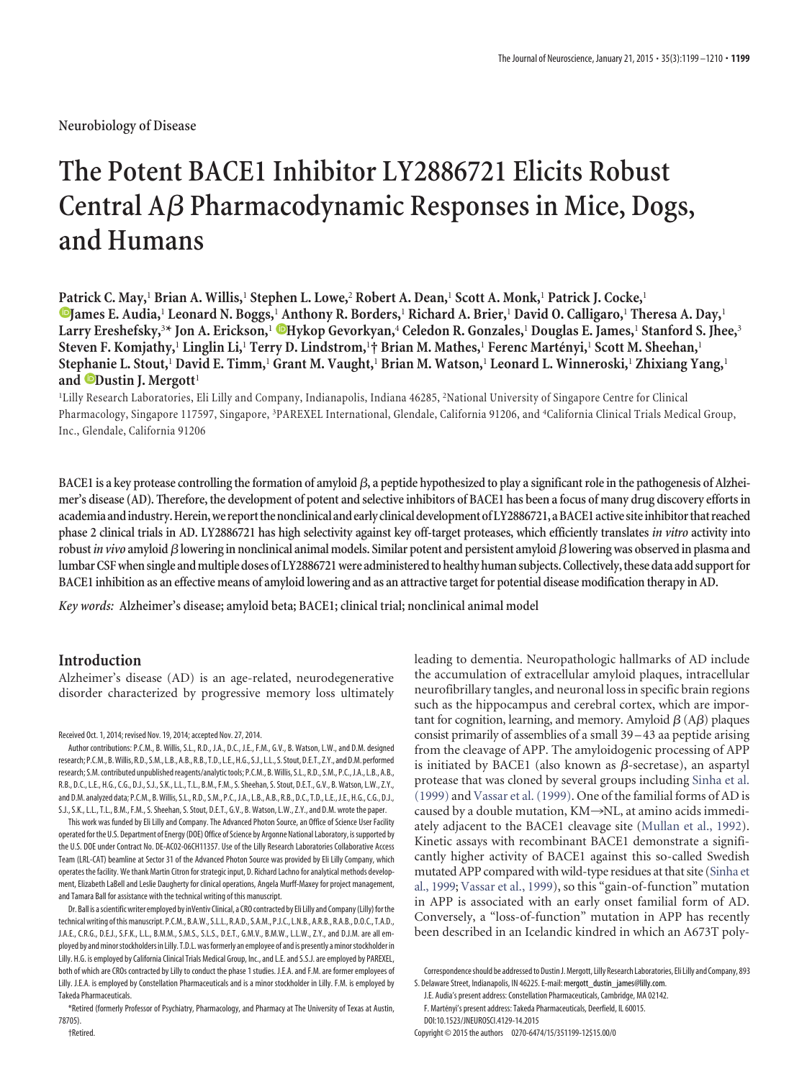**Neurobiology of Disease**

# **The Potent BACE1 Inhibitor LY2886721 Elicits Robust Central A**- **Pharmacodynamic Responses in Mice, Dogs, and Humans**

**Patrick C. May,**<sup>1</sup> **Brian A. Willis,**<sup>1</sup> **Stephen L. Lowe,**<sup>2</sup> **Robert A. Dean,**<sup>1</sup> **Scott A. Monk,**<sup>1</sup> **Patrick J. Cocke,**<sup>1</sup> **XJames E. Audia,**<sup>1</sup> **Leonard N. Boggs,**<sup>1</sup> **Anthony R. Borders,**<sup>1</sup> **Richard A. Brier,**<sup>1</sup> **David O. Calligaro,**<sup>1</sup> **Theresa A. Day,**<sup>1</sup> **Larry Ereshefsky,**<sup>3</sup> **\* Jon A. Erickson,**<sup>1</sup> **XHykop Gevorkyan,**<sup>4</sup> **Celedon R. Gonzales,**<sup>1</sup> **Douglas E. James,**<sup>1</sup> **Stanford S. Jhee,**<sup>3</sup> **Steven F. Komjathy,**<sup>1</sup> **Linglin Li,**<sup>1</sup> **Terry D. Lindstrom,**<sup>1</sup> **† Brian M. Mathes,**<sup>1</sup> **Ferenc Marte´nyi,**<sup>1</sup> **Scott M. Sheehan,**<sup>1</sup> **Stephanie L. Stout,**<sup>1</sup> **David E. Timm,**<sup>1</sup> **Grant M. Vaught,**<sup>1</sup> **Brian M. Watson,**<sup>1</sup> **Leonard L. Winneroski,**<sup>1</sup> **Zhixiang Yang,**<sup>1</sup> **and XDustin J. Mergott**<sup>1</sup>

1Lilly Research Laboratories, Eli Lilly and Company, Indianapolis, Indiana 46285, 2National University of Singapore Centre for Clinical Pharmacology, Singapore 117597, Singapore, 3PAREXEL International, Glendale, California 91206, and 4California Clinical Trials Medical Group, Inc., Glendale, California 91206

BACE1 is a key protease controlling the formation of amyloid  $\beta$ , a peptide hypothesized to play a significant role in the pathogenesis of Alzhei**mer's disease (AD). Therefore, the development of potent and selective inhibitors of BACE1 has been a focus of many drug discovery efforts in academiaandindustry.Herein,we reportthenonclinicalandearly clinicaldevelopmentofLY2886721,aBACE1active siteinhibitorthat reached phase 2 clinical trials in AD. LY2886721 has high selectivity against key off-target proteases, which efficiently translates** *in vitro* **activity into robust***in vivo* **amyloid**-**lowering in nonclinical animal models. Similar potent and persistent amyloid**-**lowering was observed in plasma and** lumbar CSF when single and multiple doses of LY2886721 were administered to healthy human subjects. Collectively, these data add support for **BACE1 inhibition as an effective means of amyloid lowering and as an attractive target for potential disease modification therapy in AD.**

*Key words:* **Alzheimer's disease; amyloid beta; BACE1; clinical trial; nonclinical animal model**

# **Introduction**

Alzheimer's disease (AD) is an age-related, neurodegenerative disorder characterized by progressive memory loss ultimately

Received Oct. 1, 2014; revised Nov. 19, 2014; accepted Nov. 27, 2014.

Author contributions: P.C.M., B. Willis, S.L., R.D., J.A., D.C., J.E., F.M., G.V., B. Watson, L.W., and D.M. designed research; P.C.M.,B.Willis, R.D., S.M., L.B.,A.B., R.B., T.D., L.E.,H.G., S.J., L.L., S. Stout,D.E.T., Z.Y., andD.M. performed research; S.M. contributed unpublished reagents/analytictools; P.C.M., B.Willis, S.L., R.D., S.M., P.C.,J.A., L.B., A.B., R.B., D.C., L.E., H.G., C.G., D.J., S.J., S.K., L.L., T.L., B.M., F.M., S. Sheehan, S. Stout, D.E.T., G.V., B. Watson, L.W., Z.Y., and D.M. analyzed data; P.C.M., B.Willis, S.L., R.D., S.M., P.C.,J.A., L.B., A.B., R.B., D.C., T.D., L.E.,J.E., H.G., C.G., D.J., S.J., S.K., L.L., T.L., B.M., F.M., S. Sheehan, S. Stout, D.E.T., G.V., B. Watson, L.W., Z.Y., and D.M. wrote the paper.

This work was funded by Eli Lilly and Company. The Advanced Photon Source, an Office of Science User Facility operated for the U.S. Department of Energy (DOE) Office of Science by Argonne National Laboratory, issupported by the U.S. DOE under Contract No. DE-AC02-06CH11357. Use of the Lilly Research Laboratories Collaborative Access Team (LRL-CAT) beamline at Sector 31 of the Advanced Photon Source was provided by Eli Lilly Company, which operates the facility. We thank Martin Citron for strategic input, D. Richard Lachno for analytical methods development, Elizabeth LaBell and Leslie Daugherty for clinical operations, Angela Murff-Maxey for project management, and Tamara Ball for assistance with the technical writing of this manuscript.

Dr. Ball is a scientific writer employed by inVentiv Clinical, a CRO contracted by Eli Lilly and Company (Lilly) for the technical writing of this manuscript. P.C.M., B.A.W., S.L.L., R.A.D., S.A.M., P.J.C., L.N.B., A.R.B., R.A.B., D.O.C., T.A.D., J.A.E., C.R.G., D.E.J., S.F.K., L.L., B.M.M., S.M.S., S.L.S., D.E.T., G.M.V., B.M.W., L.L.W., Z.Y., and D.J.M. are all employed by and minor stockholders in Lilly. T.D.L. was formerly an employee of and is presently a minor stockholder in Lilly. H.G. is employed by California Clinical Trials Medical Group, Inc., and L.E. and S.S.J. are employed by PAREXEL, both of which are CROs contracted by Lilly to conduct the phase 1 studies. J.E.A. and F.M. are former employees of Lilly. J.E.A. is employed by Constellation Pharmaceuticals and is a minor stockholder in Lilly. F.M. is employed by Takeda Pharmaceuticals.

\*Retired (formerly Professor of Psychiatry, Pharmacology, and Pharmacy at The University of Texas at Austin, 78705).

leading to dementia. Neuropathologic hallmarks of AD include the accumulation of extracellular amyloid plaques, intracellular neurofibrillary tangles, and neuronal loss in specific brain regions such as the hippocampus and cerebral cortex, which are important for cognition, learning, and memory. Amyloid  $\beta$  (A $\beta$ ) plaques consist primarily of assemblies of a small 39 –43 aa peptide arising from the cleavage of APP. The amyloidogenic processing of APP is initiated by BACE1 (also known as  $\beta$ -secretase), an aspartyl protease that was cloned by several groups including [Sinha et al.](#page-11-0) [\(1999\)](#page-11-0) and [Vassar et al. \(1999\).](#page-11-1) One of the familial forms of AD is caused by a double mutation,  $KM \rightarrow NL$ , at amino acids immediately adjacent to the BACE1 cleavage site [\(Mullan et al., 1992\)](#page-11-2). Kinetic assays with recombinant BACE1 demonstrate a significantly higher activity of BACE1 against this so-called Swedish mutated APP compared with wild-type residues at that site [\(Sinha et](#page-11-0) [al., 1999;](#page-11-0) [Vassar et al., 1999\)](#page-11-1), so this "gain-of-function" mutation in APP is associated with an early onset familial form of AD. Conversely, a "loss-of-function" mutation in APP has recently been described in an Icelandic kindred in which an A673T poly-

Copyright © 2015 the authors 0270-6474/15/351199-12\$15.00/0

†Retired.

Correspondenceshould be addressedto DustinJ.Mergott, Lilly Research Laboratories, Eli Lilly and Company, 893 S. Delaware Street, Indianapolis, IN 46225. E-mail: mergott\_dustin\_james@lilly.com.

J.E. Audia's present address: Constellation Pharmaceuticals, Cambridge, MA 02142. F. Martényi's present address: Takeda Pharmaceuticals, Deerfield, IL 60015. DOI:10.1523/JNEUROSCI.4129-14.2015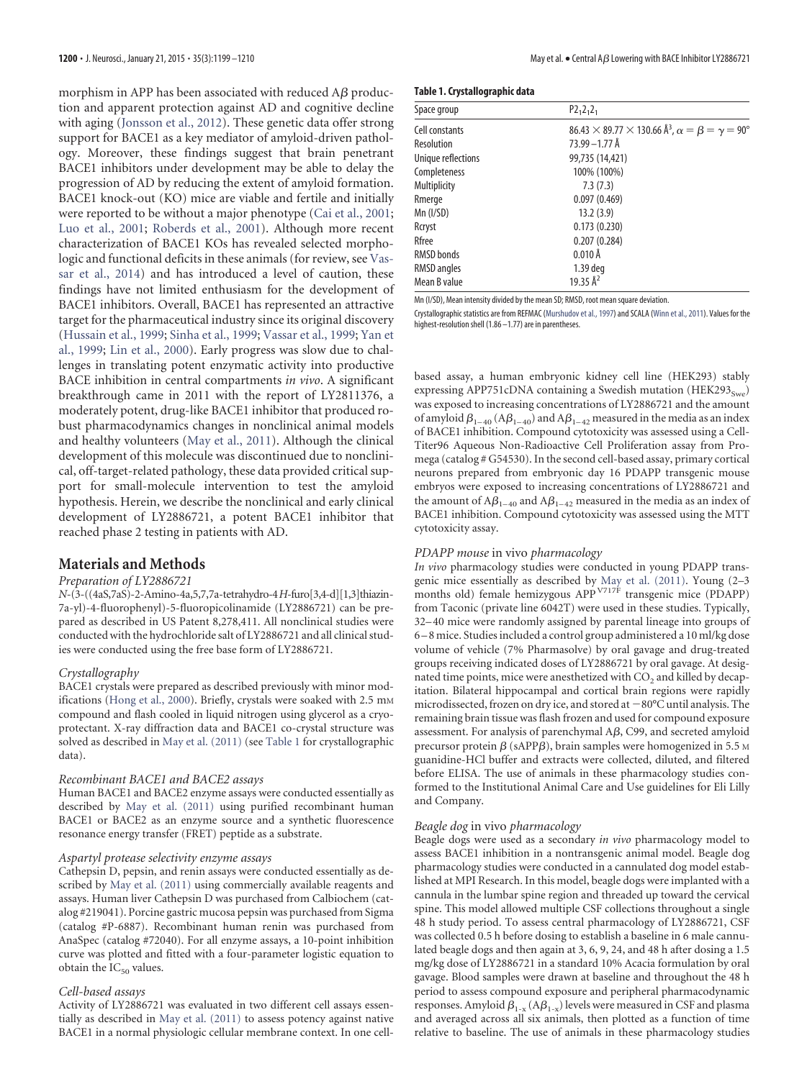morphism in APP has been associated with reduced A $\beta$  production and apparent protection against AD and cognitive decline with aging [\(Jonsson et al., 2012\)](#page-11-3). These genetic data offer strong support for BACE1 as a key mediator of amyloid-driven pathology. Moreover, these findings suggest that brain penetrant BACE1 inhibitors under development may be able to delay the progression of AD by reducing the extent of amyloid formation. BACE1 knock-out (KO) mice are viable and fertile and initially were reported to be without a major phenotype [\(Cai et al., 2001;](#page-11-4) [Luo et al., 2001;](#page-11-5) [Roberds et al., 2001\)](#page-11-6). Although more recent characterization of BACE1 KOs has revealed selected morphologic and functional deficits in these animals (for review, see [Vas](#page-11-7)[sar et al., 2014\)](#page-11-7) and has introduced a level of caution, these findings have not limited enthusiasm for the development of BACE1 inhibitors. Overall, BACE1 has represented an attractive target for the pharmaceutical industry since its original discovery [\(Hussain et al., 1999;](#page-11-8) [Sinha et al., 1999;](#page-11-0) [Vassar et al., 1999;](#page-11-1) [Yan et](#page-11-9) [al., 1999;](#page-11-9) [Lin et al., 2000\)](#page-11-10). Early progress was slow due to challenges in translating potent enzymatic activity into productive BACE inhibition in central compartments *in vivo*. A significant breakthrough came in 2011 with the report of LY2811376, a moderately potent, drug-like BACE1 inhibitor that produced robust pharmacodynamics changes in nonclinical animal models and healthy volunteers [\(May et al., 2011\)](#page-11-11). Although the clinical development of this molecule was discontinued due to nonclinical, off-target-related pathology, these data provided critical support for small-molecule intervention to test the amyloid hypothesis. Herein, we describe the nonclinical and early clinical development of LY2886721, a potent BACE1 inhibitor that reached phase 2 testing in patients with AD.

## **Materials and Methods**

# *Preparation of LY2886721*

*N*-(3-((4aS,7aS)-2-Amino-4a,5,7,7a-tetrahydro-4*H*-furo[3,4-d][1,3]thiazin-7a-yl)-4-fluorophenyl)-5-fluoropicolinamide (LY2886721) can be prepared as described in US Patent 8,278,411. All nonclinical studies were conducted with the hydrochloride salt of LY2886721 and all clinical studies were conducted using the free base form of LY2886721.

## *Crystallography*

BACE1 crystals were prepared as described previously with minor mod-ifications [\(Hong et al., 2000\)](#page-11-12). Briefly, crystals were soaked with 2.5 mm compound and flash cooled in liquid nitrogen using glycerol as a cryoprotectant. X-ray diffraction data and BACE1 co-crystal structure was solved as described in [May et al. \(2011\)](#page-11-11) (see [Table 1](#page-1-0) for crystallographic data).

#### *Recombinant BACE1 and BACE2 assays*

Human BACE1 and BACE2 enzyme assays were conducted essentially as described by [May et al. \(2011\)](#page-11-11) using purified recombinant human BACE1 or BACE2 as an enzyme source and a synthetic fluorescence resonance energy transfer (FRET) peptide as a substrate.

## *Aspartyl protease selectivity enzyme assays*

Cathepsin D, pepsin, and renin assays were conducted essentially as described by [May et al. \(2011\)](#page-11-11) using commercially available reagents and assays. Human liver Cathepsin D was purchased from Calbiochem (catalog #219041). Porcine gastric mucosa pepsin was purchased from Sigma (catalog #P-6887). Recombinant human renin was purchased from AnaSpec (catalog #72040). For all enzyme assays, a 10-point inhibition curve was plotted and fitted with a four-parameter logistic equation to obtain the  $IC_{50}$  values.

## *Cell-based assays*

Activity of LY2886721 was evaluated in two different cell assays essentially as described in [May et al. \(2011\)](#page-11-11) to assess potency against native BACE1 in a normal physiologic cellular membrane context. In one cell-

<span id="page-1-0"></span>

|  | Table 1. Crystallographic data |  |
|--|--------------------------------|--|
|--|--------------------------------|--|

| Space group        | $P2_12_12_1$                                                                                 |
|--------------------|----------------------------------------------------------------------------------------------|
| Cell constants     | $86.43 \times 89.77 \times 130.66 \,\mathrm{\AA}^3$ , $\alpha = \beta = \gamma = 90^{\circ}$ |
| Resolution         | 73.99 - 1.77 Å                                                                               |
| Unique reflections | 99,735 (14,421)                                                                              |
| Completeness       | 100% (100%)                                                                                  |
| Multiplicity       | 7.3(7.3)                                                                                     |
| Rmerge             | 0.097(0.469)                                                                                 |
| Mn (I/SD)          | 13.2(3.9)                                                                                    |
| Rcryst             | 0.173(0.230)                                                                                 |
| Rfree              | 0.207(0.284)                                                                                 |
| RMSD bonds         | $0.010$ Å                                                                                    |
| RMSD angles        | 1.39 deg                                                                                     |
| Mean B value       | 19.35 Å <sup>2</sup>                                                                         |

Mn (I/SD), Mean intensity divided by the mean SD; RMSD, root mean square deviation.

Crystallographic statistics are from REFMAC [\(Murshudov et al., 1997\)](#page-11-13) and SCALA [\(Winn et al., 2011\)](#page-11-14). Values for the highest-resolution shell (1.86 –1.77) are in parentheses.

based assay, a human embryonic kidney cell line (HEK293) stably expressing APP751cDNA containing a Swedish mutation (HEK293 $_{S_{W\ell}}$ ) was exposed to increasing concentrations of LY2886721 and the amount of amyloid  $\beta_{1-40}$  (A $\beta_{1-40}$ ) and A $\beta_{1-42}$  measured in the media as an index of BACE1 inhibition. Compound cytotoxicity was assessed using a Cell-Titer96 Aqueous Non-Radioactive Cell Proliferation assay from Promega (catalog # G54530). In the second cell-based assay, primary cortical neurons prepared from embryonic day 16 PDAPP transgenic mouse embryos were exposed to increasing concentrations of LY2886721 and the amount of  $A\beta_{1-40}$  and  $A\beta_{1-42}$  measured in the media as an index of BACE1 inhibition. Compound cytotoxicity was assessed using the MTT cytotoxicity assay.

#### *PDAPP mouse* in vivo *pharmacology*

*In vivo* pharmacology studies were conducted in young PDAPP transgenic mice essentially as described by [May et al. \(2011\).](#page-11-11) Young (2–3 months old) female hemizygous APP<sup>V717F</sup> transgenic mice (PDAPP) from Taconic (private line 6042T) were used in these studies. Typically, 32– 40 mice were randomly assigned by parental lineage into groups of 6 – 8 mice. Studies included a control group administered a 10 ml/kg dose volume of vehicle (7% Pharmasolve) by oral gavage and drug-treated groups receiving indicated doses of LY2886721 by oral gavage. At designated time points, mice were anesthetized with  $CO<sub>2</sub>$  and killed by decapitation. Bilateral hippocampal and cortical brain regions were rapidly microdissected, frozen on dry ice, and stored at  $-80^{\circ}$ C until analysis. The remaining brain tissue was flash frozen and used for compound exposure assessment. For analysis of parenchymal A $\beta$ , C99, and secreted amyloid precursor protein  $\beta$  (sAPP $\beta$ ), brain samples were homogenized in 5.5 m guanidine-HCl buffer and extracts were collected, diluted, and filtered before ELISA. The use of animals in these pharmacology studies conformed to the Institutional Animal Care and Use guidelines for Eli Lilly and Company.

#### *Beagle dog* in vivo *pharmacology*

Beagle dogs were used as a secondary *in vivo* pharmacology model to assess BACE1 inhibition in a nontransgenic animal model. Beagle dog pharmacology studies were conducted in a cannulated dog model established at MPI Research. In this model, beagle dogs were implanted with a cannula in the lumbar spine region and threaded up toward the cervical spine. This model allowed multiple CSF collections throughout a single 48 h study period. To assess central pharmacology of LY2886721, CSF was collected 0.5 h before dosing to establish a baseline in 6 male cannulated beagle dogs and then again at 3, 6, 9, 24, and 48 h after dosing a 1.5 mg/kg dose of LY2886721 in a standard 10% Acacia formulation by oral gavage. Blood samples were drawn at baseline and throughout the 48 h period to assess compound exposure and peripheral pharmacodynamic responses. Amyloid  $\beta_{1-x}$  (A $\beta_{1-x}$ ) levels were measured in CSF and plasma and averaged across all six animals, then plotted as a function of time relative to baseline. The use of animals in these pharmacology studies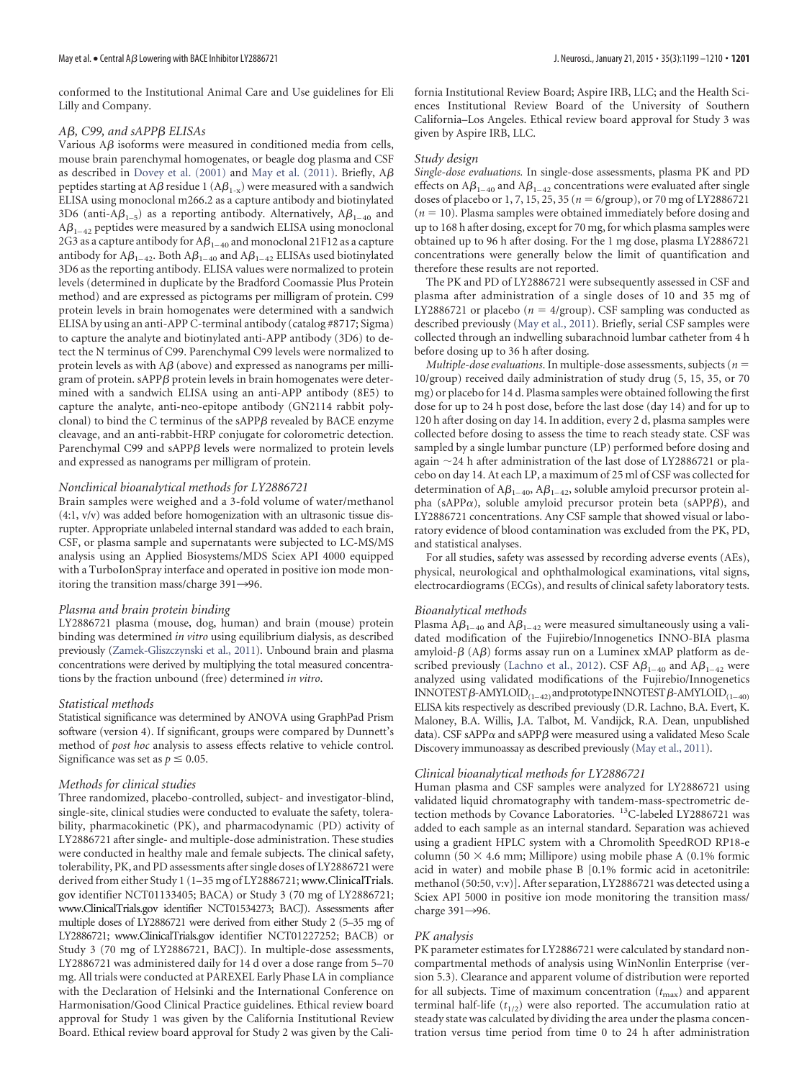conformed to the Institutional Animal Care and Use guidelines for Eli Lilly and Company.

## $A\beta$ , C99, and sAPP $\beta$  ELISAs

Various A $\beta$  isoforms were measured in conditioned media from cells, mouse brain parenchymal homogenates, or beagle dog plasma and CSF as described in [Dovey et al. \(2001\)](#page-11-15) and [May et al. \(2011\).](#page-11-11) Briefly, A $\beta$ peptides starting at A $\beta$  residue 1 (A $\beta_{1\text{-}x}$ ) were measured with a sandwich ELISA using monoclonal m266.2 as a capture antibody and biotinylated 3D6 (anti-A $\beta_{1-5}$ ) as a reporting antibody. Alternatively, A $\beta_{1-40}$  and A $\beta_{_{1-42}}$  peptides were measured by a sandwich ELISA using monoclonal 2G3 as a capture antibody for A $\beta_{1-40}$  and monoclonal 21F12 as a capture antibody for A $\beta_{1-42}$ . Both A $\beta_{1-40}$  and A $\beta_{1-42}$  ELISAs used biotinylated 3D6 as the reporting antibody. ELISA values were normalized to protein levels (determined in duplicate by the Bradford Coomassie Plus Protein method) and are expressed as pictograms per milligram of protein. C99 protein levels in brain homogenates were determined with a sandwich ELISA by using an anti-APP C-terminal antibody (catalog #8717; Sigma) to capture the analyte and biotinylated anti-APP antibody (3D6) to detect the N terminus of C99. Parenchymal C99 levels were normalized to protein levels as with A $\beta$  (above) and expressed as nanograms per milligram of protein.  $\mathrm{sAPP}\beta$  protein levels in brain homogenates were determined with a sandwich ELISA using an anti-APP antibody (8E5) to capture the analyte, anti-neo-epitope antibody (GN2114 rabbit polyclonal) to bind the C terminus of the sAPP $\beta$  revealed by BACE enzyme cleavage, and an anti-rabbit-HRP conjugate for colorometric detection. Parenchymal C99 and sAPPB levels were normalized to protein levels and expressed as nanograms per milligram of protein.

#### *Nonclinical bioanalytical methods for LY2886721*

Brain samples were weighed and a 3-fold volume of water/methanol (4:1, v/v) was added before homogenization with an ultrasonic tissue disrupter. Appropriate unlabeled internal standard was added to each brain, CSF, or plasma sample and supernatants were subjected to LC-MS/MS analysis using an Applied Biosystems/MDS Sciex API 4000 equipped with a TurboIonSpray interface and operated in positive ion mode monitoring the transition mass/charge  $391 \rightarrow 96$ .

#### *Plasma and brain protein binding*

LY2886721 plasma (mouse, dog, human) and brain (mouse) protein binding was determined *in vitro* using equilibrium dialysis, as described previously [\(Zamek-Gliszczynski et al., 2011\)](#page-11-16). Unbound brain and plasma concentrations were derived by multiplying the total measured concentrations by the fraction unbound (free) determined *in vitro*.

#### *Statistical methods*

Statistical significance was determined by ANOVA using GraphPad Prism software (version 4). If significant, groups were compared by Dunnett's method of *post hoc* analysis to assess effects relative to vehicle control. Significance was set as  $p \leq 0.05$ .

#### *Methods for clinical studies*

Three randomized, placebo-controlled, subject- and investigator-blind, single-site, clinical studies were conducted to evaluate the safety, tolerability, pharmacokinetic (PK), and pharmacodynamic (PD) activity of LY2886721 after single- and multiple-dose administration. These studies were conducted in healthy male and female subjects. The clinical safety, tolerability, PK, and PD assessments after single doses of LY2886721 were derived from either Study 1 (1-35 mg of LY2886721; www.ClinicalTrials. gov identifier NCT01133405; BACA) or Study 3 (70 mg of LY2886721; www.ClinicalTrials.gov identifier NCT01534273; BACJ). Assessments after multiple doses of LY2886721 were derived from either Study 2 (5–35 mg of LY2886721; www.ClinicalTrials.gov identifier NCT01227252; BACB) or Study 3 (70 mg of LY2886721, BACJ). In multiple-dose assessments, LY2886721 was administered daily for 14 d over a dose range from 5–70 mg. All trials were conducted at PAREXEL Early Phase LA in compliance with the Declaration of Helsinki and the International Conference on Harmonisation/Good Clinical Practice guidelines. Ethical review board approval for Study 1 was given by the California Institutional Review Board. Ethical review board approval for Study 2 was given by the California Institutional Review Board; Aspire IRB, LLC; and the Health Sciences Institutional Review Board of the University of Southern California–Los Angeles. Ethical review board approval for Study 3 was given by Aspire IRB, LLC.

#### *Study design*

*Single-dose evaluations.* In single-dose assessments, plasma PK and PD effects on A $\beta_{1-40}$  and A $\beta_{1-42}$  concentrations were evaluated after single doses of placebo or 1, 7, 15, 25, 35 ( $n = 6$ /group), or 70 mg of LY2886721  $(n = 10)$ . Plasma samples were obtained immediately before dosing and up to 168 h after dosing, except for 70 mg, for which plasma samples were obtained up to 96 h after dosing. For the 1 mg dose, plasma LY2886721 concentrations were generally below the limit of quantification and therefore these results are not reported.

The PK and PD of LY2886721 were subsequently assessed in CSF and plasma after administration of a single doses of 10 and 35 mg of LY2886721 or placebo ( $n = 4$ /group). CSF sampling was conducted as described previously [\(May et al., 2011\)](#page-11-11). Briefly, serial CSF samples were collected through an indwelling subarachnoid lumbar catheter from 4 h before dosing up to 36 h after dosing.

*Multiple-dose evaluations*. In multiple-dose assessments, subjects (*n* 10/group) received daily administration of study drug (5, 15, 35, or 70 mg) or placebo for 14 d. Plasma samples were obtained following the first dose for up to 24 h post dose, before the last dose (day 14) and for up to 120 h after dosing on day 14. In addition, every 2 d, plasma samples were collected before dosing to assess the time to reach steady state. CSF was sampled by a single lumbar puncture (LP) performed before dosing and again  $\sim$  24 h after administration of the last dose of LY2886721 or placebo on day 14. At each LP, a maximum of 25 ml of CSF was collected for determination of  $A\beta_{1-40}$ ,  $A\beta_{1-42}$ , soluble amyloid precursor protein alpha (sAPP $\alpha$ ), soluble amyloid precursor protein beta (sAPP $\beta$ ), and LY2886721 concentrations. Any CSF sample that showed visual or laboratory evidence of blood contamination was excluded from the PK, PD, and statistical analyses.

For all studies, safety was assessed by recording adverse events (AEs), physical, neurological and ophthalmological examinations, vital signs, electrocardiograms (ECGs), and results of clinical safety laboratory tests.

#### *Bioanalytical methods*

Plasma A $\beta_{_{1-40}}$  and A $\beta_{_{1-42}}$  were measured simultaneously using a validated modification of the Fujirebio/Innogenetics INNO-BIA plasma amyloid- $\beta$  (A $\beta$ ) forms assay run on a Luminex xMAP platform as de-scribed previously [\(Lachno et al., 2012\)](#page-11-17). CSF  $A\beta_{1-40}$  and  $A\beta_{1-42}$  were analyzed using validated modifications of the Fujirebio/Innogenetics INNOTEST  $\beta$ -AMYLOID<sub>(1–42)</sub> and prototype INNOTEST  $\beta$ -AMYLOID<sub>(1–40)</sub> ELISA kits respectively as described previously (D.R. Lachno, B.A. Evert, K. Maloney, B.A. Willis, J.A. Talbot, M. Vandijck, R.A. Dean, unpublished data). CSF sAPP $\alpha$  and sAPP $\beta$  were measured using a validated Meso Scale Discovery immunoassay as described previously [\(May et al., 2011\)](#page-11-11).

## *Clinical bioanalytical methods for LY2886721*

Human plasma and CSF samples were analyzed for LY2886721 using validated liquid chromatography with tandem-mass-spectrometric detection methods by Covance Laboratories. <sup>13</sup>C-labeled LY2886721 was added to each sample as an internal standard. Separation was achieved using a gradient HPLC system with a Chromolith SpeedROD RP18-e column (50  $\times$  4.6 mm; Millipore) using mobile phase A (0.1% formic acid in water) and mobile phase B [0.1% formic acid in acetonitrile: methanol (50:50, v:v)]. After separation, LY2886721 was detected using a Sciex API 5000 in positive ion mode monitoring the transition mass/ charge 391 $\rightarrow$ 96.

#### *PK analysis*

PK parameter estimates for LY2886721 were calculated by standard noncompartmental methods of analysis using WinNonlin Enterprise (version 5.3). Clearance and apparent volume of distribution were reported for all subjects. Time of maximum concentration  $(t_{\text{max}})$  and apparent terminal half-life  $(t_{1/2})$  were also reported. The accumulation ratio at steady state was calculated by dividing the area under the plasma concentration versus time period from time 0 to 24 h after administration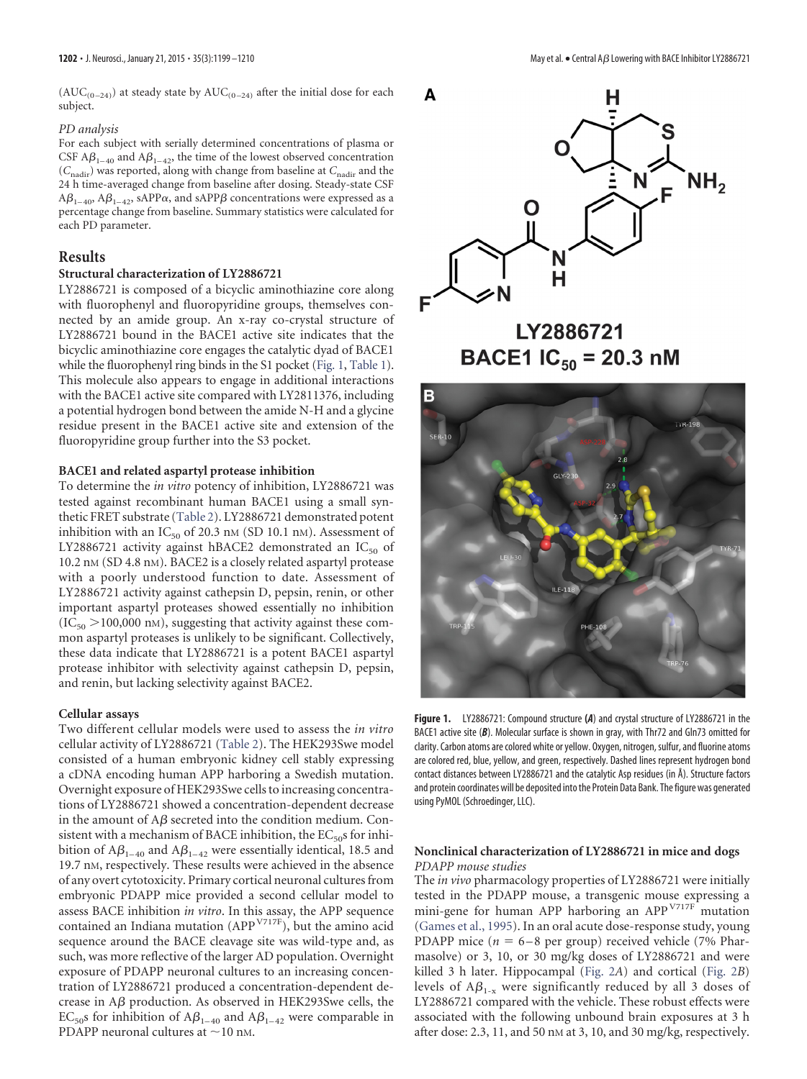$(AUC_{(0-24)})$  at steady state by  $AUC_{(0-24)}$  after the initial dose for each subject.

#### *PD analysis*

For each subject with serially determined concentrations of plasma or CSF  $A\beta_{1-40}$  and  $A\beta_{1-42}$ , the time of the lowest observed concentration (*C*nadir) was reported, along with change from baseline at *C*nadir and the 24 h time-averaged change from baseline after dosing. Steady-state CSF  $A\beta_{1-40}$ ,  $A\beta_{1-42}$ , sAPP $\alpha$ , and sAPP $\beta$  concentrations were expressed as a percentage change from baseline. Summary statistics were calculated for each PD parameter.

## **Results**

#### **Structural characterization of LY2886721**

LY2886721 is composed of a bicyclic aminothiazine core along with fluorophenyl and fluoropyridine groups, themselves connected by an amide group. An x-ray co-crystal structure of LY2886721 bound in the BACE1 active site indicates that the bicyclic aminothiazine core engages the catalytic dyad of BACE1 while the fluorophenyl ring binds in the S1 pocket [\(Fig. 1,](#page-3-0) [Table 1\)](#page-1-0). This molecule also appears to engage in additional interactions with the BACE1 active site compared with LY2811376, including a potential hydrogen bond between the amide N-H and a glycine residue present in the BACE1 active site and extension of the fluoropyridine group further into the S3 pocket.

## **BACE1 and related aspartyl protease inhibition**

To determine the *in vitro* potency of inhibition, LY2886721 was tested against recombinant human BACE1 using a small synthetic FRET substrate [\(Table 2\)](#page-4-0). LY2886721 demonstrated potent inhibition with an  $IC_{50}$  of 20.3 nm (SD 10.1 nm). Assessment of LY2886721 activity against hBACE2 demonstrated an  $IC_{50}$  of 10.2 nM (SD 4.8 nM). BACE2 is a closely related aspartyl protease with a poorly understood function to date. Assessment of LY2886721 activity against cathepsin D, pepsin, renin, or other important aspartyl proteases showed essentially no inhibition  $(IC_{50} > 100,000 \text{ nm})$ , suggesting that activity against these common aspartyl proteases is unlikely to be significant. Collectively, these data indicate that LY2886721 is a potent BACE1 aspartyl protease inhibitor with selectivity against cathepsin D, pepsin, and renin, but lacking selectivity against BACE2.

#### **Cellular assays**

Two different cellular models were used to assess the *in vitro* cellular activity of LY2886721 [\(Table 2\)](#page-4-0). The HEK293Swe model consisted of a human embryonic kidney cell stably expressing a cDNA encoding human APP harboring a Swedish mutation. Overnight exposure of HEK293Swe cells to increasing concentrations of LY2886721 showed a concentration-dependent decrease in the amount of A $\beta$  secreted into the condition medium. Consistent with a mechanism of BACE inhibition, the  $EC_{50}$ s for inhibition of A $\beta_{1-40}$  and A $\beta_{1-42}$  were essentially identical, 18.5 and 19.7 nM, respectively. These results were achieved in the absence of any overt cytotoxicity. Primary cortical neuronal cultures from embryonic PDAPP mice provided a second cellular model to assess BACE inhibition *in vitro*. In this assay, the APP sequence contained an Indiana mutation (APP<sup>V717F</sup>), but the amino acid sequence around the BACE cleavage site was wild-type and, as such, was more reflective of the larger AD population. Overnight exposure of PDAPP neuronal cultures to an increasing concentration of LY2886721 produced a concentration-dependent decrease in  $A\beta$  production. As observed in HEK293Swe cells, the  $EC_{50}$ s for inhibition of A $\beta_{1-40}$  and A $\beta_{1-42}$  were comparable in PDAPP neuronal cultures at  $\sim$  10 nm.



LY2886721 **BACE1 IC<sub>50</sub>** = 20.3 nM



<span id="page-3-0"></span>**Figure 1.** LY2886721: Compound structure **(***A*) and crystal structure of LY2886721 in the BACE1 active site (*B*). Molecular surface is shown in gray, with Thr72 and Gln73 omitted for clarity. Carbon atoms are colored white or yellow. Oxygen, nitrogen, sulfur, and fluorine atoms are colored red, blue, yellow, and green, respectively. Dashed lines represent hydrogen bond contact distances between LY2886721 and the catalytic Asp residues (in Å). Structure factors and protein coordinates will be deposited into the Protein Data Bank. The figure was generated using PyMOL (Schroedinger, LLC).

## **Nonclinical characterization of LY2886721 in mice and dogs** *PDAPP mouse studies*

The *in vivo* pharmacology properties of LY2886721 were initially tested in the PDAPP mouse, a transgenic mouse expressing a mini-gene for human APP harboring an APP<sup>V717F</sup> mutation [\(Games et al., 1995\)](#page-11-18). In an oral acute dose-response study, young PDAPP mice  $(n = 6 - 8$  per group) received vehicle (7% Pharmasolve) or 3, 10, or 30 mg/kg doses of LY2886721 and were killed 3 h later. Hippocampal [\(Fig. 2](#page-4-1)*A*) and cortical [\(Fig. 2](#page-4-1)*B*) levels of  $A\beta_{1-x}$  were significantly reduced by all 3 doses of LY2886721 compared with the vehicle. These robust effects were associated with the following unbound brain exposures at 3 h after dose: 2.3, 11, and 50 nM at 3, 10, and 30 mg/kg, respectively.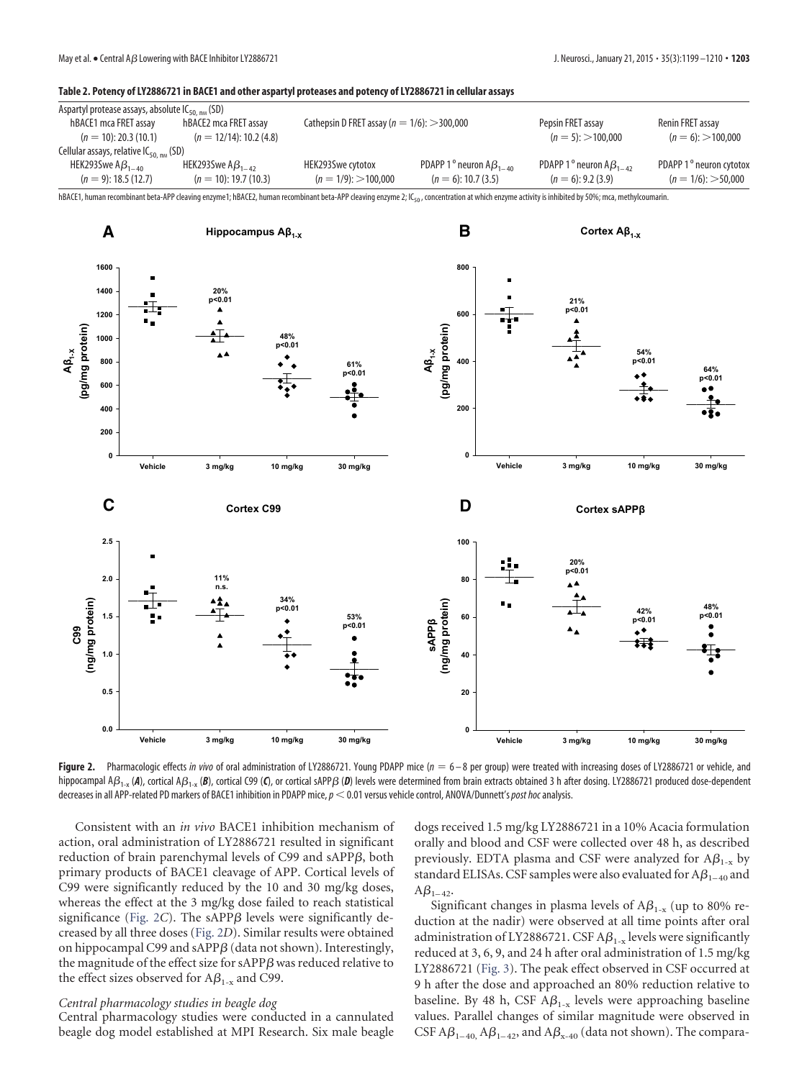#### <span id="page-4-0"></span>**Table 2. Potency of LY2886721 in BACE1 and other aspartyl proteases and potency of LY2886721 in cellular assays**

| Aspartyl protease assays, absolute $IC_{50 \mu m}$ (SD) |                            |                                                   |                              |                             |                                     |  |  |  |  |
|---------------------------------------------------------|----------------------------|---------------------------------------------------|------------------------------|-----------------------------|-------------------------------------|--|--|--|--|
| hBACE1 mca FRET assay                                   | hBACE2 mca FRET assay      | Cathepsin D FRET assay ( $n = 1/6$ ): $>$ 300,000 |                              | Pepsin FRET assay           | Renin FRET assay                    |  |  |  |  |
| $(n = 10)$ : 20.3 (10.1)                                | $(n = 12/14)$ : 10.2 (4.8) |                                                   |                              | $(n = 5)$ : >100.000        | $(n = 6)$ : >100,000                |  |  |  |  |
| Cellular assays, relative $IC_{50.~\text{nm}}$ (SD)     |                            |                                                   |                              |                             |                                     |  |  |  |  |
| HEK293Swe $AB_{1-40}$                                   | HEK293Swe $AB_{1-42}$      | HEK293Swe cytotox                                 | PDAPP 1 ° neuron $AB_{1-40}$ | PDAPP 1° neuron $AB_{1-42}$ | PDAPP 1 <sup>°</sup> neuron cytotox |  |  |  |  |
| $(n = 9)$ : 18.5 (12.7)                                 | $(n = 10)$ : 19.7 (10.3)   | $(n = 1/9)$ : >100.000                            | $(n = 6)$ : 10.7 (3.5)       | $(n = 6)$ : 9.2 (3.9)       | $(n = 1/6)$ : > 50.000              |  |  |  |  |

hBACE1, human recombinant beta-APP cleaving enzyme1; hBACE2, human recombinant beta-APP cleaving enzyme 2; IC<sub>50</sub>, concentration at which enzyme activity is inhibited by 50%; mca, methylcoumarin.



<span id="page-4-1"></span>Figure 2. Pharmacologic effects *in vivo* of oral administration of LY2886721. Young PDAPP mice (*n* = 6-8 per group) were treated with increasing doses of LY2886721 or vehicle, and hippocampal A $\beta_{1\text{-}x}$  (**A**), cortical A $\beta_{1\text{-}x}$  (**B**), cortical S99 (**C**), or cortical sAPP $\beta$  (**D**) levels were determined from brain extracts obtained 3 h after dosing. LY2886721 produced dose-dependent decreases in all APP-related PD markers of BACE1 inhibition in PDAPP mice,*p* 0.01 versus vehicle control, ANOVA/Dunnett's*post hoc*analysis.

Consistent with an *in vivo* BACE1 inhibition mechanism of action, oral administration of LY2886721 resulted in significant reduction of brain parenchymal levels of C99 and sAPP $\beta$ , both primary products of BACE1 cleavage of APP. Cortical levels of C99 were significantly reduced by the 10 and 30 mg/kg doses, whereas the effect at the 3 mg/kg dose failed to reach statistical  $significance$  [\(Fig. 2](#page-4-1)C). The  $sAPP\beta$  levels were significantly decreased by all three doses [\(Fig. 2](#page-4-1)*D*). Similar results were obtained on hippocampal C99 and sAPP $\beta$  (data not shown). Interestingly, the magnitude of the effect size for sAPP $\beta$  was reduced relative to the effect sizes observed for  $A\beta_{1-x}$  and C99.

## *Central pharmacology studies in beagle dog*

Central pharmacology studies were conducted in a cannulated beagle dog model established at MPI Research. Six male beagle dogs received 1.5 mg/kg LY2886721 in a 10% Acacia formulation orally and blood and CSF were collected over 48 h, as described previously. EDTA plasma and CSF were analyzed for  $A\beta_{1-x}$  by standard ELISAs. CSF samples were also evaluated for  $\mathbb{A}\beta_{1-40}$  and  $A\beta_{1-42}$ 

Significant changes in plasma levels of  $A\beta_{1-x}$  (up to 80% reduction at the nadir) were observed at all time points after oral administration of LY2886721. CSF A $\beta_{1\text{-}x}$  levels were significantly reduced at 3, 6, 9, and 24 h after oral administration of 1.5 mg/kg LY2886721 [\(Fig. 3\)](#page-5-0). The peak effect observed in CSF occurred at 9 h after the dose and approached an 80% reduction relative to baseline. By 48 h, CSF  $A\beta_{1-x}$  levels were approaching baseline values. Parallel changes of similar magnitude were observed in CSF A $\beta_{1-40}$ , A $\beta_{1-42}$ , and A $\beta_{x-40}$  (data not shown). The compara-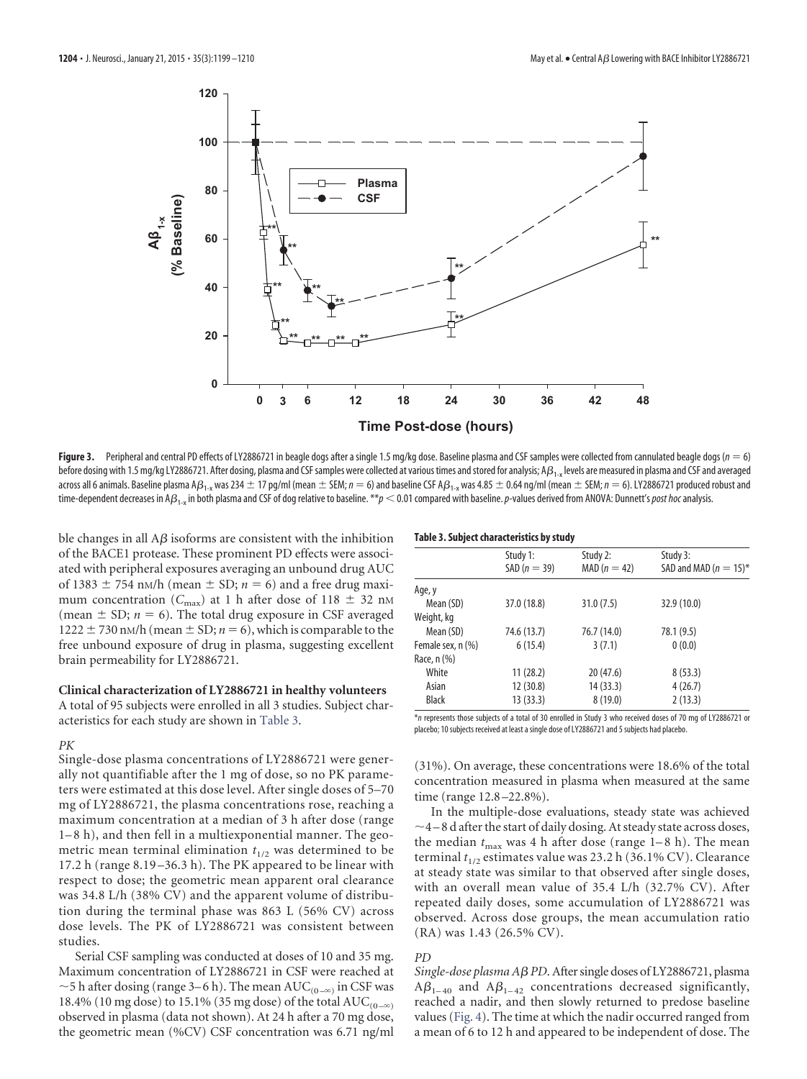

<span id="page-5-0"></span>Figure 3. Peripheral and central PD effects of LY2886721 in beagle dogs after a single 1.5 mg/kg dose. Baseline plasma and CSF samples were collected from cannulated beagle dogs (*n* = 6) before dosing with 1.5 mg/kg LY2886721. After dosing, plasma and CSF samples were collected at various times and stored for analysis; A $\beta_{1-x}$  levels are measured in plasma and CSF and averaged across all 6 animals. Baseline plasma A $\beta_{1\text{-}x}$  was 234  $\pm$  17 pg/ml (mean  $\pm$  SEM;  $n=6$ ) and baseline CSF A $\beta_{1\text{-}x}$  was 4.85  $\pm$  0.64 ng/ml (mean  $\pm$  SEM;  $n=6$ ). LY2886721 produced robust and time-dependent decreases in A $\beta_{1\times}$ in both plasma and CSF of dog relative to baseline. \*\* $p < 0.01$  compared with baseline.  $p$ -values derived from ANOVA: Dunnett's *post hoc* analysis.

ble changes in all A $\beta$  isoforms are consistent with the inhibition of the BACE1 protease. These prominent PD effects were associated with peripheral exposures averaging an unbound drug AUC of 1383  $\pm$  754 nm/h (mean  $\pm$  SD;  $n = 6$ ) and a free drug maximum concentration ( $C_{\text{max}}$ ) at 1 h after dose of 118  $\pm$  32 nm (mean  $\pm$  SD;  $n = 6$ ). The total drug exposure in CSF averaged  $1222 \pm 730$  nM/h (mean  $\pm$  SD;  $n = 6$ ), which is comparable to the free unbound exposure of drug in plasma, suggesting excellent brain permeability for LY2886721.

## **Clinical characterization of LY2886721 in healthy volunteers**

A total of 95 subjects were enrolled in all 3 studies. Subject characteristics for each study are shown in [Table 3.](#page-5-1)

## *PK*

Single-dose plasma concentrations of LY2886721 were generally not quantifiable after the 1 mg of dose, so no PK parameters were estimated at this dose level. After single doses of 5–70 mg of LY2886721, the plasma concentrations rose, reaching a maximum concentration at a median of 3 h after dose (range 1–8 h), and then fell in a multiexponential manner. The geometric mean terminal elimination  $t_{1/2}$  was determined to be 17.2 h (range 8.19 –36.3 h). The PK appeared to be linear with respect to dose; the geometric mean apparent oral clearance was 34.8 L/h (38% CV) and the apparent volume of distribution during the terminal phase was 863 L (56% CV) across dose levels. The PK of LY2886721 was consistent between studies.

Serial CSF sampling was conducted at doses of 10 and 35 mg. Maximum concentration of LY2886721 in CSF were reached at  $\sim$  5 h after dosing (range 3–6 h). The mean AUC<sub>(0-∞)</sub> in CSF was 18.4% (10 mg dose) to 15.1% (35 mg dose) of the total  $\text{AUC}_{(0-\infty)}$ observed in plasma (data not shown). At 24 h after a 70 mg dose, the geometric mean (%CV) CSF concentration was 6.71 ng/ml

<span id="page-5-1"></span>

|  | Table 3. Subject characteristics by study |  |
|--|-------------------------------------------|--|
|--|-------------------------------------------|--|

|                   | Study 1:<br>$SAD (n = 39)$ | Study 2:<br>$MAD (n = 42)$ | Study 3:<br>SAD and MAD ( $n = 15$ )* |
|-------------------|----------------------------|----------------------------|---------------------------------------|
| Age, y            |                            |                            |                                       |
| Mean (SD)         | 37.0 (18.8)                | 31.0(7.5)                  | 32.9(10.0)                            |
| Weight, kg        |                            |                            |                                       |
| Mean (SD)         | 74.6 (13.7)                | 76.7 (14.0)                | 78.1 (9.5)                            |
| Female sex, n (%) | 6(15.4)                    | 3(7.1)                     | 0(0.0)                                |
| Race, n (%)       |                            |                            |                                       |
| White             | 11(28.2)                   | 20(47.6)                   | 8(53.3)                               |
| Asian             | 12(30.8)                   | 14(33.3)                   | 4(26.7)                               |
| <b>Black</b>      | 13(33.3)                   | 8(19.0)                    | 2(13.3)                               |

\**n* represents those subjects of a total of 30 enrolled in Study 3 who received doses of 70 mg of LY2886721 or placebo; 10 subjects received at least a single dose of LY2886721 and 5 subjects had placebo.

(31%). On average, these concentrations were 18.6% of the total concentration measured in plasma when measured at the same time (range 12.8 –22.8%).

In the multiple-dose evaluations, steady state was achieved  $\sim$ 4 – 8 d after the start of daily dosing. At steady state across doses, the median  $t_{\text{max}}$  was 4 h after dose (range  $1-8$  h). The mean terminal  $t_{1/2}$  estimates value was 23.2 h (36.1% CV). Clearance at steady state was similar to that observed after single doses, with an overall mean value of 35.4 L/h (32.7% CV). After repeated daily doses, some accumulation of LY2886721 was observed. Across dose groups, the mean accumulation ratio (RA) was 1.43 (26.5% CV).

#### *PD*

Single-dose plasma A*ß PD*. After single doses of LY2886721, plasma  $A\beta_{1-40}$  and  $A\beta_{1-42}$  concentrations decreased significantly, reached a nadir, and then slowly returned to predose baseline values [\(Fig. 4\)](#page-6-0). The time at which the nadir occurred ranged from a mean of 6 to 12 h and appeared to be independent of dose. The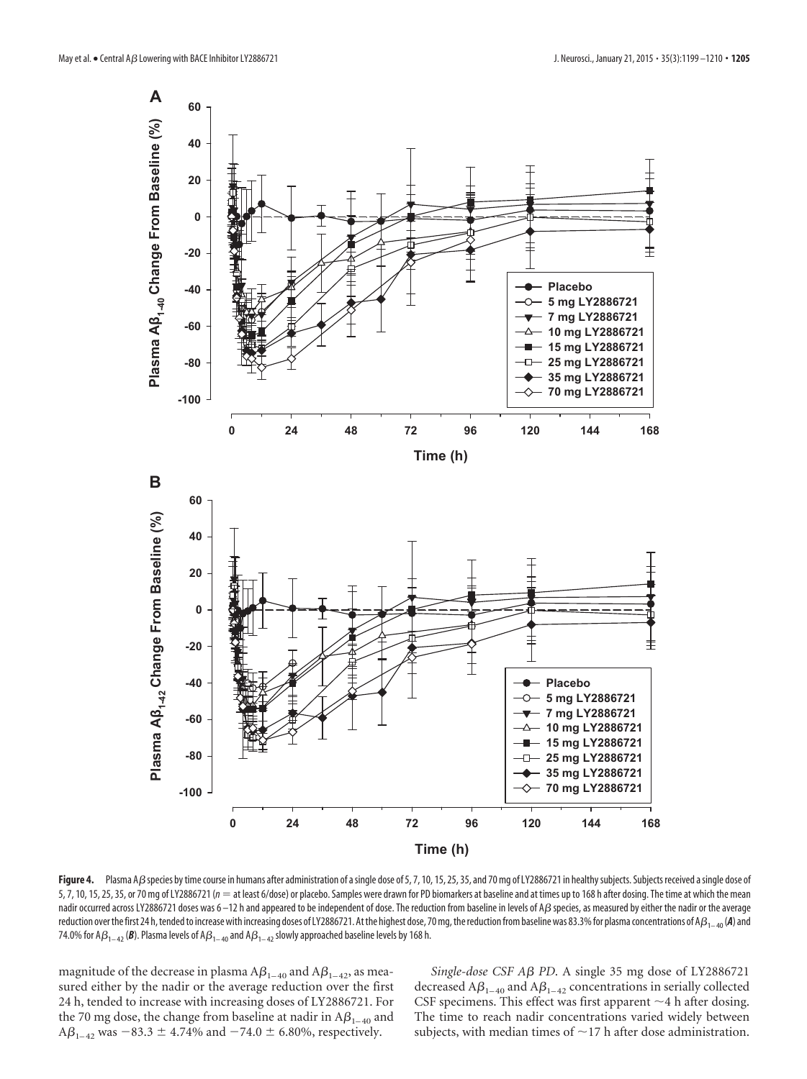

<span id="page-6-0"></span>Figure 4. Plasma AB species by time course in humans after administration of a single dose of 5, 7, 10, 15, 25, 35, and 70 mg of LY2886721 in healthy subjects. Subjects received a single dose of 5, 7, 10, 15, 25, 35, or 70 mg of LY2886721 ( $n =$  at least 6/dose) or placebo. Samples were drawn for PD biomarkers at baseline and at times up to 168 h after dosing. The time at which the mean nadir occurred across LY2886721 doses was 6–12 h and appeared to be independent of dose. The reduction from baseline in levels of A $\beta$  species, as measured by either the nadir or the average reduction over the first 24 h, tended to increase with increasing doses of LY2886721. At the highest dose, 70 mg, the reduction from baseline was 83.3% for plasma concentrations of A $\beta_{1-40}$  (**A**) and 74.0% for A $\beta_{_{1-42}}$  (**B**). Plasma levels of A $\beta_{_{1-40}}$  and A $\beta_{_{1-42}}$  slowly approached baseline levels by 168 h.

magnitude of the decrease in plasma  $A\beta_{1-40}$  and  $A\beta_{1-42}$ , as measured either by the nadir or the average reduction over the first 24 h, tended to increase with increasing doses of LY2886721. For the 70 mg dose, the change from baseline at nadir in  $A\beta_{1-40}$  and  $A\beta_{1-42}$  was  $-83.3 \pm 4.74\%$  and  $-74.0 \pm 6.80\%$ , respectively.

Single-dose CSF A<sub>B</sub> PD. A single 35 mg dose of LY2886721 decreased A $\beta_{_{1-40}}$  and A $\beta_{_{1-42}}$  concentrations in serially collected CSF specimens. This effect was first apparent  $\sim$  4 h after dosing. The time to reach nadir concentrations varied widely between subjects, with median times of  $\sim$  17 h after dose administration.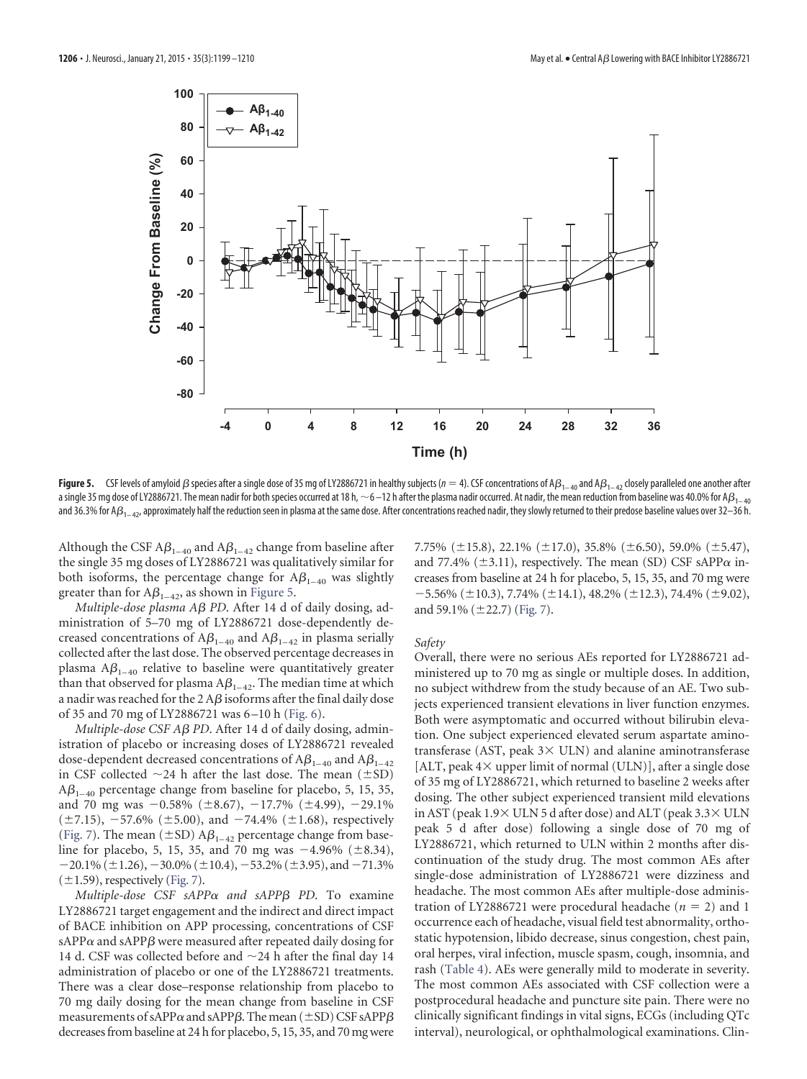

<span id="page-7-0"></span>**Figure 5.** CSF levels of amyloid  $\beta$  species after a single dose of 35 mg of LY2886721 in healthy subjects ( $n=4$ ). CSF concentrations of A $\beta_{1-42}$  and A $\beta_{1-42}$  closely paralleled one another after a single 35 mg dose of LY2886721. The mean nadir for both species occurred at 18 h,  $\sim$ 6 $-$ 12 h after the plasma nadir occurred. At nadir, the mean reduction from baseline was 40.0% for A $\beta_{1-40}$ and 36.3% for A $\beta_{1-42}$ , approximately half the reduction seen in plasma at the same dose. After concentrations reached nadir, they slowly returned to their predose baseline values over 32–36 h.

Although the CSF  $A\beta_{1-40}$  and  $A\beta_{1-42}$  change from baseline after the single 35 mg doses of LY2886721 was qualitatively similar for both isoforms, the percentage change for  $A\beta_{1-40}$  was slightly greater than for  $A\beta_{1-42}$ , as shown in [Figure 5.](#page-7-0)

*Multiple-dose plasma Aβ PD*. After 14 d of daily dosing, administration of 5–70 mg of LY2886721 dose-dependently decreased concentrations of  $A\beta_{1-40}$  and  $A\beta_{1-42}$  in plasma serially collected after the last dose. The observed percentage decreases in plasma A $\beta_{_{1-40}}$  relative to baseline were quantitatively greater than that observed for plasma  $A\beta_{1-42}$ . The median time at which a nadir was reached for the 2 A $\beta$  isoforms after the final daily dose of 35 and 70 mg of LY2886721 was 6 –10 h [\(Fig. 6\)](#page-8-0).

*Multiple-dose CSF Aβ PD*. After 14 d of daily dosing, administration of placebo or increasing doses of LY2886721 revealed dose-dependent decreased concentrations of  $\mathbb{A}\beta_{1-40}$  and  $\mathbb{A}\beta_{1-42}$ in CSF collected  $\sim$ 24 h after the last dose. The mean ( $\pm$ SD)  $A\beta_{1-40}$  percentage change from baseline for placebo, 5, 15, 35, and 70 mg was  $-0.58\%$  ( $\pm 8.67$ ),  $-17.7\%$  ( $\pm 4.99$ ),  $-29.1\%$  $(\pm 7.15), -57.6\%$   $(\pm 5.00),$  and  $-74.4\%$   $(\pm 1.68),$  respectively [\(Fig. 7\)](#page-9-0). The mean ( $\pm$ SD) A $\beta_{1-42}$  percentage change from baseline for placebo, 5, 15, 35, and 70 mg was  $-4.96\%$  ( $\pm 8.34$ ),  $-20.1\%$  ( $\pm 1.26$ ),  $-30.0\%$  ( $\pm 10.4$ ),  $-53.2\%$  ( $\pm 3.95$ ), and  $-71.3\%$  $(\pm 1.59)$ , respectively [\(Fig. 7\)](#page-9-0).

 $Multiple-dose \; CSF \; sAPP\alpha \; and \; sAPP\beta \; PD. \; To \; examine$ LY2886721 target engagement and the indirect and direct impact of BACE inhibition on APP processing, concentrations of CSF sAPP $\alpha$  and sAPP $\beta$  were measured after repeated daily dosing for 14 d. CSF was collected before and  $\sim$ 24 h after the final day 14 administration of placebo or one of the LY2886721 treatments. There was a clear dose–response relationship from placebo to 70 mg daily dosing for the mean change from baseline in CSF measurements of sAPP $\alpha$  and sAPP $\beta$ . The mean (  $\pm$  SD) CSF sAPP $\beta$ decreases from baseline at 24 h for placebo, 5, 15, 35, and 70 mg were 7.75% ( $\pm$ 15.8), 22.1% ( $\pm$ 17.0), 35.8% ( $\pm$ 6.50), 59.0% ( $\pm$ 5.47), and 77.4% ( $\pm$ 3.11), respectively. The mean (SD) CSF sAPP $\alpha$  increases from baseline at 24 h for placebo, 5, 15, 35, and 70 mg were  $-5.56\%$  ( $\pm 10.3$ ), 7.74% ( $\pm 14.1$ ), 48.2% ( $\pm 12.3$ ), 74.4% ( $\pm 9.02$ ), and 59.1%  $(\pm 22.7)$  [\(Fig. 7\)](#page-9-0).

#### *Safety*

Overall, there were no serious AEs reported for LY2886721 administered up to 70 mg as single or multiple doses. In addition, no subject withdrew from the study because of an AE. Two subjects experienced transient elevations in liver function enzymes. Both were asymptomatic and occurred without bilirubin elevation. One subject experienced elevated serum aspartate aminotransferase (AST, peak  $3 \times$  ULN) and alanine aminotransferase [ALT, peak  $4\times$  upper limit of normal (ULN)], after a single dose of 35 mg of LY2886721, which returned to baseline 2 weeks after dosing. The other subject experienced transient mild elevations in AST (peak  $1.9 \times$  ULN 5 d after dose) and ALT (peak  $3.3 \times$  ULN peak 5 d after dose) following a single dose of 70 mg of LY2886721, which returned to ULN within 2 months after discontinuation of the study drug. The most common AEs after single-dose administration of LY2886721 were dizziness and headache. The most common AEs after multiple-dose administration of LY2886721 were procedural headache ( $n = 2$ ) and 1 occurrence each of headache, visual field test abnormality, orthostatic hypotension, libido decrease, sinus congestion, chest pain, oral herpes, viral infection, muscle spasm, cough, insomnia, and rash [\(Table 4\)](#page-9-1). AEs were generally mild to moderate in severity. The most common AEs associated with CSF collection were a postprocedural headache and puncture site pain. There were no clinically significant findings in vital signs, ECGs (including QTc interval), neurological, or ophthalmological examinations. Clin-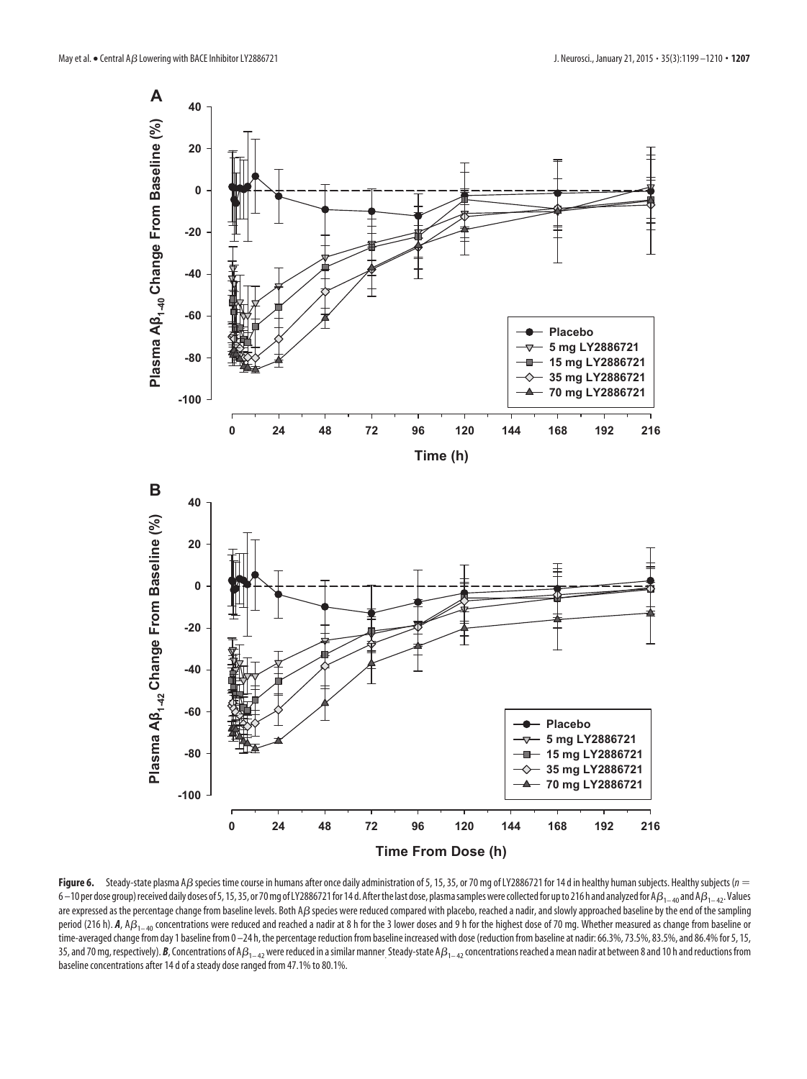

<span id="page-8-0"></span>Figure 6. Steady-state plasma A*ß* species time course in humans after once daily administration of 5, 15, 35, or 70 mg of LY2886721 for 14 d in healthy human subjects. Healthy subjects (*n* = 6 – 10 per dose group) received daily doses of 5, 15, 35, or 70 mg of LY2886721 for 14 d. After the last dose, plasma samples were collected for up to 216 h and analyzed for A $\beta_{1-40}$  and A $\beta_{1-42}$ . Values are expressed as the percentage change from baseline levels. Both A $\beta$  species were reduced compared with placebo, reached a nadir, and slowly approached baseline by the end of the sampling period (216 h). **A**, A $\beta_{1-40}$  concentrations were reduced and reached a nadir at 8 h for the 3 lower doses and 9 h for the highest dose of 70 mg. Whether measured as change from baseline or time-averaged change from day 1 baseline from 0-24 h, the percentage reduction from baseline increased with dose (reduction from baseline at nadir: 66.3%, 73.5%, 83.5%, and 86.4% for 5, 15, 35, and 70 mg, respectively). **B**, Concentrations of A $\beta_{1-42}$  were reduced in a similar manner. Steady-state A $\beta_{1-42}$  concentrations reached a mean nadir at between 8 and 10 h and reductions from baseline concentrations after 14 d of a steady dose ranged from 47.1% to 80.1%.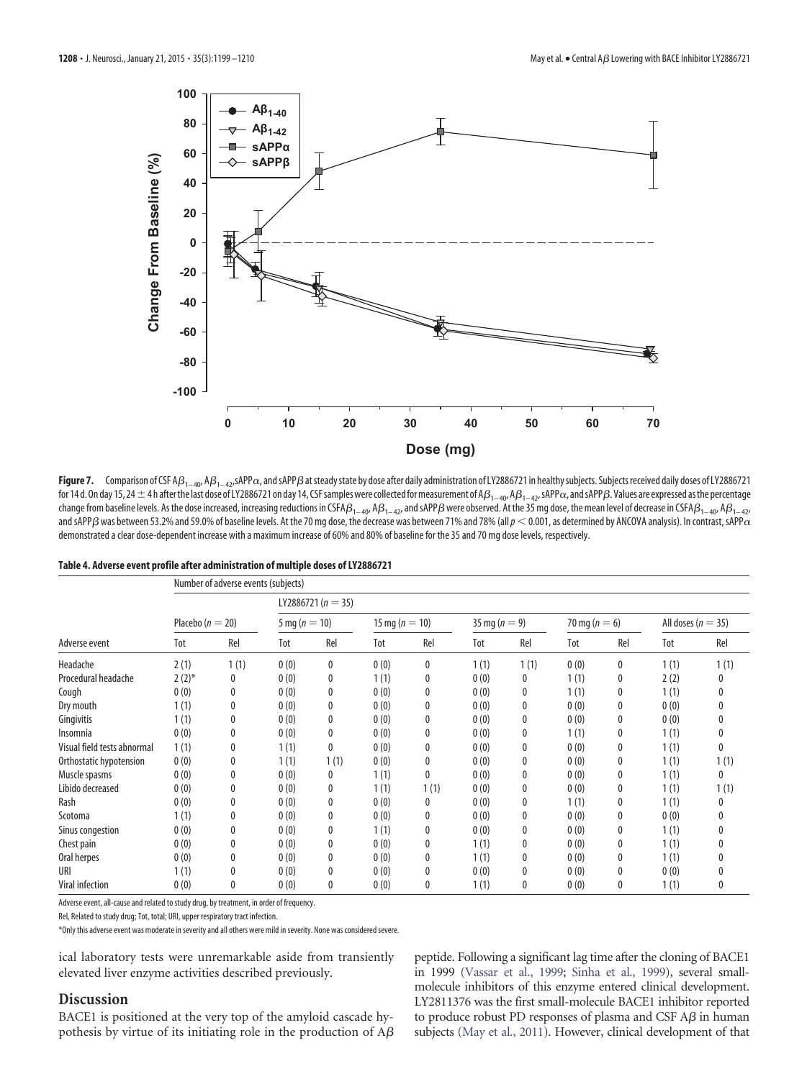

<span id="page-9-0"></span> ${\sf Figure~7.}$  Comparison of CSF A $\beta_{1-40'}$  A $\beta_{1-42'}$ sAPP $\alpha$ , and sAPP $\beta$  at steady state by dose after daily administration of LY2886721 in healthy subjects. Subjects received daily doses of LY2886721 for 14 d. On day 15, 24  $\pm$  4h after the last dose of LY2886721 on day 14, CSF samples were collected for measurement of A $\beta_{1-40}$ , A $\beta_{1-42}$ , sAPP $\alpha$ , and sAPP $\beta$ . Values are expressed as the percentage change from baseline levels. As the dose increased, increasing reductions in CSFA $\beta_{1-40}$ , A $\beta_{1-42}$ , and sAPP $\beta$  were observed. At the 35 mg dose, the mean level of decrease in CSFA $\beta_{1-40}$ , A $\beta_{1-42}$ , and sAPP $\beta$  was between 53.2% and 59.0% of baseline levels. At the 70 mg dose, the decrease was between 71% and 78% (all  $p <$  0.001, as determined by ANCOVA analysis). In contrast, sAPP $\alpha$ demonstrated a clear dose-dependent increase with a maximum increase of 60% and 80% of baseline for the 35 and 70 mg dose levels, respectively.

<span id="page-9-1"></span>

|  | Table 4. Adverse event profile after administration of multiple doses of LY2886721 |  |
|--|------------------------------------------------------------------------------------|--|
|--|------------------------------------------------------------------------------------|--|

|                             | Number of adverse events (subjects) |      |                   |                        |                    |      |                   |      |                   |     |                        |              |
|-----------------------------|-------------------------------------|------|-------------------|------------------------|--------------------|------|-------------------|------|-------------------|-----|------------------------|--------------|
| Adverse event               |                                     |      |                   | LY2886721 ( $n = 35$ ) |                    |      |                   |      |                   |     |                        |              |
|                             | Placebo ( $n = 20$ )                |      | 5 mg ( $n = 10$ ) |                        | 15 mg ( $n = 10$ ) |      | 35 mg ( $n = 9$ ) |      | 70 mg ( $n = 6$ ) |     | All doses ( $n = 35$ ) |              |
|                             | Tot                                 | Rel  | Tot               | Rel                    | Tot                | Rel  | Tot               | Rel  | Tot               | Rel | Tot                    | Rel          |
| Headache                    | 2(1)                                | 1(1) | 0(0)              | 0                      | 0(0)               | 0    | 1(1)              | 1(1) | 0(0)              | 0   | 1(1)                   | 1(1)         |
| Procedural headache         | $2(2)$ *                            | 0    | 0(0)              | 0                      | 1(1)               | 0    | 0(0)              | 0    | 1(1)              | 0   | 2(2)                   | 0            |
| Cough                       | 0(0)                                | 0    | 0(0)              | 0                      | 0(0)               | 0    | 0(0)              | 0    | 1(1)              | 0   | 1(1)                   | $\Omega$     |
| Dry mouth                   | 1(1)                                | 0    | 0(0)              | 0                      | 0(0)               | 0    | 0(0)              | 0    | 0(0)              | 0   | 0(0)                   | $\Omega$     |
| Gingivitis                  | 1(1)                                | 0    | 0(0)              | 0                      | 0(0)               | 0    | 0(0)              | 0    | 0(0)              | 0   | 0(0)                   |              |
| Insomnia                    | 0(0)                                | 0    | 0(0)              | 0                      | 0(0)               | 0    | 0(0)              | 0    | 1(1)              | 0   | 1(1)                   | 0            |
| Visual field tests abnormal | 1(1)                                | 0    | 1(1)              | 0                      | 0(0)               | 0    | 0(0)              | 0    | 0(0)              | 0   | 1(1)                   | $\mathbf{0}$ |
| Orthostatic hypotension     | 0(0)                                | 0    | 1(1)              | 1(1)                   | 0(0)               | 0    | 0(0)              | 0    | 0(0)              | 0   | 1(1)                   | 1(1)         |
| Muscle spasms               | 0(0)                                | 0    | 0(0)              | 0                      | 1(1)               | 0    | 0(0)              | 0    | 0(0)              | 0   | 1(1)                   | 0            |
| Libido decreased            | 0(0)                                | 0    | 0(0)              | 0                      | 1(1)               | 1(1) | 0(0)              | 0    | 0(0)              | 0   | 1(1)                   | 1(1)         |
| Rash                        | 0(0)                                | 0    | 0(0)              | 0                      | 0(0)               | 0    | 0(0)              | 0    | 1(1)              | 0   | 1(1)                   | $\Omega$     |
| Scotoma                     | 1(1)                                | 0    | 0(0)              | 0                      | 0(0)               | 0    | 0(0)              | 0    | 0(0)              | 0   | 0(0)                   | $\Omega$     |
| Sinus congestion            | 0(0)                                | 0    | 0(0)              | 0                      | 1(1)               | 0    | 0(0)              | 0    | 0(0)              | 0   | 1(1)                   |              |
| Chest pain                  | 0(0)                                | 0    | 0(0)              | 0                      | 0(0)               | 0    | 1(1)              | 0    | 0(0)              | 0   | 1(1)                   |              |
| Oral herpes                 | 0(0)                                | 0    | 0(0)              | 0                      | 0(0)               | 0    | 1(1)              | 0    | 0(0)              | 0   | 1(1)                   |              |
| URI                         | 1(1)                                | 0    | 0(0)              | 0                      | 0(0)               | 0    | 0(0)              | 0    | 0(0)              | 0   | 0(0)                   |              |
| Viral infection             | 0(0)                                | 0    | 0(0)              | $\mathbf{0}$           | 0(0)               | 0    | 1(1)              | 0    | 0(0)              | 0   | 1(1)                   | $\mathbf{0}$ |

Adverse event, all-cause and related to study drug, by treatment, in order of frequency.

Rel, Related to study drug; Tot, total; URI, upper respiratory tract infection.

\*Only this adverse event was moderate in severity and all others were mild in severity. None was considered severe.

ical laboratory tests were unremarkable aside from transiently elevated liver enzyme activities described previously.

# **Discussion**

BACE1 is positioned at the very top of the amyloid cascade hypothesis by virtue of its initiating role in the production of A $\beta$  peptide. Following a significant lag time after the cloning of BACE1 in 1999 [\(Vassar et al., 1999;](#page-11-1) [Sinha et al., 1999\)](#page-11-0), several smallmolecule inhibitors of this enzyme entered clinical development. LY2811376 was the first small-molecule BACE1 inhibitor reported to produce robust PD responses of plasma and CSF  $A\beta$  in human subjects [\(May et al., 2011\)](#page-11-11). However, clinical development of that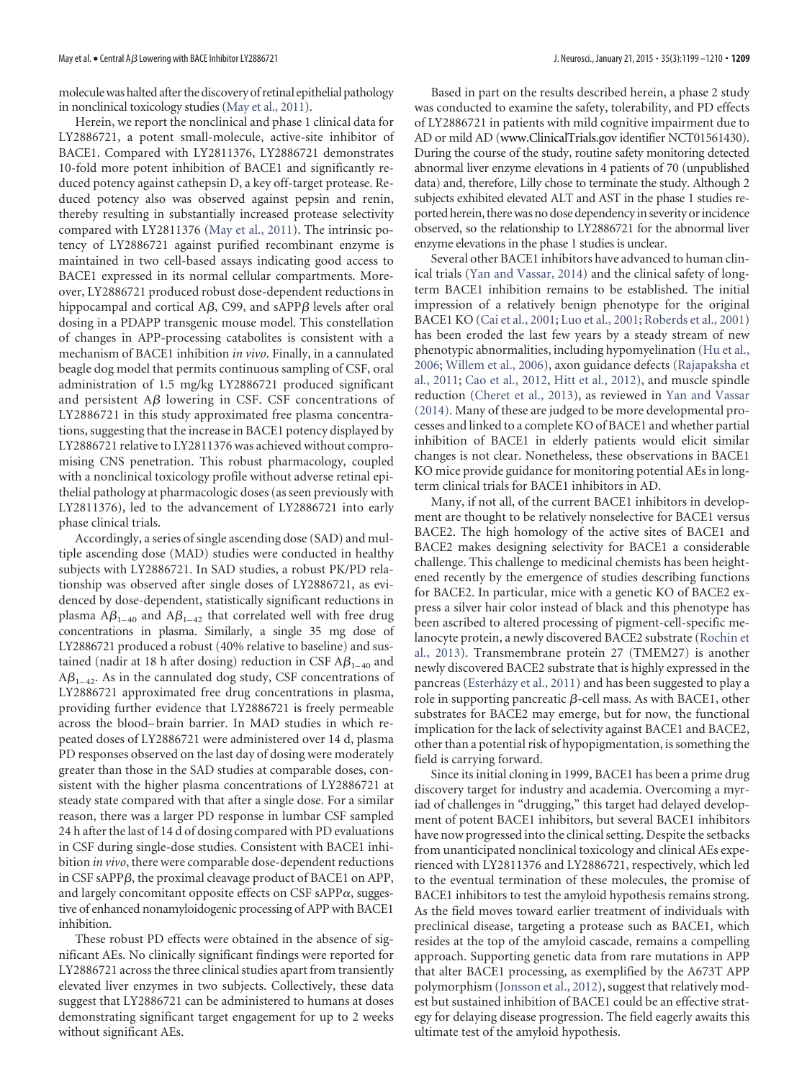moleculewas halted after the discovery of retinal epithelial pathology in nonclinical toxicology studies [\(May et al., 2011\)](#page-11-11).

Herein, we report the nonclinical and phase 1 clinical data for LY2886721, a potent small-molecule, active-site inhibitor of BACE1. Compared with LY2811376, LY2886721 demonstrates 10-fold more potent inhibition of BACE1 and significantly reduced potency against cathepsin D, a key off-target protease. Reduced potency also was observed against pepsin and renin, thereby resulting in substantially increased protease selectivity compared with LY2811376 [\(May et al., 2011\)](#page-11-11). The intrinsic potency of LY2886721 against purified recombinant enzyme is maintained in two cell-based assays indicating good access to BACE1 expressed in its normal cellular compartments. Moreover, LY2886721 produced robust dose-dependent reductions in hippocampal and cortical A $\beta$ , C99, and sAPP $\beta$  levels after oral dosing in a PDAPP transgenic mouse model. This constellation of changes in APP-processing catabolites is consistent with a mechanism of BACE1 inhibition *in vivo*. Finally, in a cannulated beagle dog model that permits continuous sampling of CSF, oral administration of 1.5 mg/kg LY2886721 produced significant and persistent A $\beta$  lowering in CSF. CSF concentrations of LY2886721 in this study approximated free plasma concentrations, suggesting that the increase in BACE1 potency displayed by LY2886721 relative to LY2811376 was achieved without compromising CNS penetration. This robust pharmacology, coupled with a nonclinical toxicology profile without adverse retinal epithelial pathology at pharmacologic doses (as seen previously with LY2811376), led to the advancement of LY2886721 into early phase clinical trials.

Accordingly, a series of single ascending dose (SAD) and multiple ascending dose (MAD) studies were conducted in healthy subjects with LY2886721. In SAD studies, a robust PK/PD relationship was observed after single doses of LY2886721, as evidenced by dose-dependent, statistically significant reductions in plasma A $\beta_{_{1-40}}$  and A $\beta_{_{1-42}}$  that correlated well with free drug concentrations in plasma. Similarly, a single 35 mg dose of LY2886721 produced a robust (40% relative to baseline) and sustained (nadir at 18 h after dosing) reduction in CSF  $A\beta_{1-40}$  and  $A\beta_{1-42}$ . As in the cannulated dog study, CSF concentrations of LY2886721 approximated free drug concentrations in plasma, providing further evidence that LY2886721 is freely permeable across the blood– brain barrier. In MAD studies in which repeated doses of LY2886721 were administered over 14 d, plasma PD responses observed on the last day of dosing were moderately greater than those in the SAD studies at comparable doses, consistent with the higher plasma concentrations of LY2886721 at steady state compared with that after a single dose. For a similar reason, there was a larger PD response in lumbar CSF sampled 24 h after the last of 14 d of dosing compared with PD evaluations in CSF during single-dose studies. Consistent with BACE1 inhibition *in vivo*, there were comparable dose-dependent reductions in CSF sAPP $\beta$ , the proximal cleavage product of BACE1 on APP, and largely concomitant opposite effects on CSF sAPP $\alpha$ , suggestive of enhanced nonamyloidogenic processing of APP with BACE1 inhibition.

These robust PD effects were obtained in the absence of significant AEs. No clinically significant findings were reported for LY2886721 across the three clinical studies apart from transiently elevated liver enzymes in two subjects. Collectively, these data suggest that LY2886721 can be administered to humans at doses demonstrating significant target engagement for up to 2 weeks without significant AEs.

Based in part on the results described herein, a phase 2 study was conducted to examine the safety, tolerability, and PD effects of LY2886721 in patients with mild cognitive impairment due to AD or mild AD (www.ClinicalTrials.gov identifier NCT01561430). During the course of the study, routine safety monitoring detected abnormal liver enzyme elevations in 4 patients of 70 (unpublished data) and, therefore, Lilly chose to terminate the study. Although 2 subjects exhibited elevated ALT and AST in the phase 1 studies reported herein, there was no dose dependency in severity or incidence observed, so the relationship to LY2886721 for the abnormal liver enzyme elevations in the phase 1 studies is unclear.

Several other BACE1 inhibitors have advanced to human clinical trials [\(Yan and Vassar, 2014\)](#page-11-19) and the clinical safety of longterm BACE1 inhibition remains to be established. The initial impression of a relatively benign phenotype for the original BACE1 KO [\(Cai et al., 2001;](#page-11-4) [Luo et al., 2001;](#page-11-5) [Roberds et al., 2001\)](#page-11-6) has been eroded the last few years by a steady stream of new phenotypic abnormalities, including hypomyelination [\(Hu et al.,](#page-11-20) [2006;](#page-11-20) [Willem et al., 2006\)](#page-11-21), axon guidance defects [\(Rajapaksha et](#page-11-22) [al., 2011;](#page-11-22) [Cao et al., 2012,](#page-11-23) [Hitt et al., 2012\)](#page-11-24), and muscle spindle reduction [\(Cheret et al., 2013\)](#page-11-25), as reviewed in [Yan and Vassar](#page-11-19) [\(2014\).](#page-11-19) Many of these are judged to be more developmental processes and linked to a complete KO of BACE1 and whether partial inhibition of BACE1 in elderly patients would elicit similar changes is not clear. Nonetheless, these observations in BACE1 KO mice provide guidance for monitoring potential AEs in longterm clinical trials for BACE1 inhibitors in AD.

Many, if not all, of the current BACE1 inhibitors in development are thought to be relatively nonselective for BACE1 versus BACE2. The high homology of the active sites of BACE1 and BACE2 makes designing selectivity for BACE1 a considerable challenge. This challenge to medicinal chemists has been heightened recently by the emergence of studies describing functions for BACE2. In particular, mice with a genetic KO of BACE2 express a silver hair color instead of black and this phenotype has been ascribed to altered processing of pigment-cell-specific melanocyte protein, a newly discovered BACE2 substrate [\(Rochin et](#page-11-26) [al., 2013\)](#page-11-26). Transmembrane protein 27 (TMEM27) is another newly discovered BACE2 substrate that is highly expressed in the pancreas (Esterházy et al., 2011) and has been suggested to play a role in supporting pancreatic  $\beta$ -cell mass. As with BACE1, other substrates for BACE2 may emerge, but for now, the functional implication for the lack of selectivity against BACE1 and BACE2, other than a potential risk of hypopigmentation, is something the field is carrying forward.

Since its initial cloning in 1999, BACE1 has been a prime drug discovery target for industry and academia. Overcoming a myriad of challenges in "drugging," this target had delayed development of potent BACE1 inhibitors, but several BACE1 inhibitors have now progressed into the clinical setting. Despite the setbacks from unanticipated nonclinical toxicology and clinical AEs experienced with LY2811376 and LY2886721, respectively, which led to the eventual termination of these molecules, the promise of BACE1 inhibitors to test the amyloid hypothesis remains strong. As the field moves toward earlier treatment of individuals with preclinical disease, targeting a protease such as BACE1, which resides at the top of the amyloid cascade, remains a compelling approach. Supporting genetic data from rare mutations in APP that alter BACE1 processing, as exemplified by the A673T APP polymorphism [\(Jonsson et al., 2012\)](#page-11-3), suggest that relatively modest but sustained inhibition of BACE1 could be an effective strategy for delaying disease progression. The field eagerly awaits this ultimate test of the amyloid hypothesis.